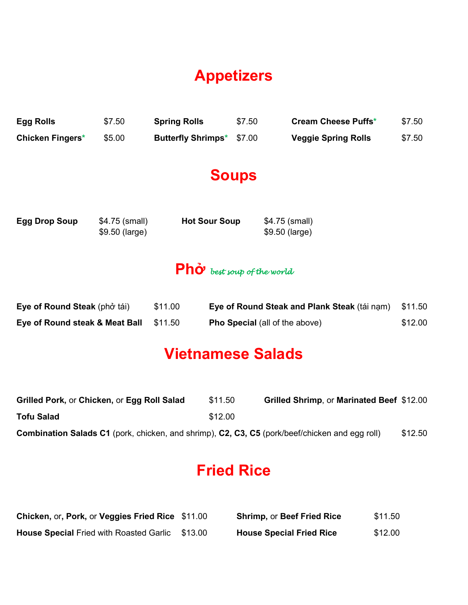# **Appetizers**

| Egg Rolls               | \$7.50 | <b>Spring Rolls</b>              | \$7.50 | <b>Cream Cheese Puffs*</b> | \$7.50 |
|-------------------------|--------|----------------------------------|--------|----------------------------|--------|
| <b>Chicken Fingers*</b> | \$5.00 | <b>Butterfly Shrimps*</b> \$7.00 |        | <b>Veggie Spring Rolls</b> | \$7.50 |

#### **Soups**

| <b>Egg Drop Soup</b> | $$4.75$ (small) | <b>Hot Sour Soup</b> | \$4.75 (small) |
|----------------------|-----------------|----------------------|----------------|
|                      | $$9.50$ (large) |                      | \$9.50 (large) |

#### **Phở** *best soup of the world*

| Eye of Round Steak (phở tái)   | \$11.00 | Eye of Round Steak and Plank Steak (tái nạm) | \$11.50 |
|--------------------------------|---------|----------------------------------------------|---------|
| Eye of Round steak & Meat Ball | \$11.50 | <b>Pho Special</b> (all of the above)        | \$12.00 |

#### **Vietnamese Salads**

| Grilled Pork, or Chicken, or Egg Roll Salad                                                           | \$11.50 | Grilled Shrimp, or Marinated Beef \$12.00 |         |
|-------------------------------------------------------------------------------------------------------|---------|-------------------------------------------|---------|
| <b>Tofu Salad</b>                                                                                     | \$12.00 |                                           |         |
| <b>Combination Salads C1</b> (pork, chicken, and shrimp), C2, C3, C5 (pork/beef/chicken and egg roll) |         |                                           | \$12.50 |

## **Fried Rice**

| Chicken, or, Pork, or Veggies Fried Rice \$11.00       | <b>Shrimp, or Beef Fried Rice</b> | \$11.50 |
|--------------------------------------------------------|-----------------------------------|---------|
| <b>House Special Fried with Roasted Garlic \$13.00</b> | <b>House Special Fried Rice</b>   | \$12.00 |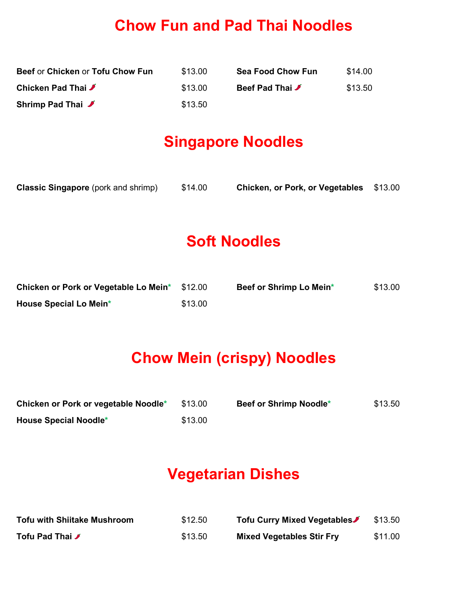#### **Chow Fun and Pad Thai Noodles**

| Beef or Chicken or Tofu Chow Fun | \$13.00 | <b>Sea Food Chow Fun</b> | \$14.00 |
|----------------------------------|---------|--------------------------|---------|
| Chicken Pad Thai ✔               | \$13.00 | Beef Pad Thai <b>J</b>   | \$13.50 |
| Shrimp Pad Thai ✔                | \$13.50 |                          |         |

#### **Singapore Noodles**

| <b>Classic Singapore</b> (pork and shrimp) | \$14.00 | Chicken, or Pork, or Vegetables \$13.00 |  |
|--------------------------------------------|---------|-----------------------------------------|--|
|--------------------------------------------|---------|-----------------------------------------|--|

#### **Soft Noodles**

| Chicken or Pork or Vegetable Lo Mein* | \$12.00 | Beef or Shrimp Lo Mein* | \$13.00 |
|---------------------------------------|---------|-------------------------|---------|
| House Special Lo Mein*                | \$13.00 |                         |         |

#### **Chow Mein (crispy) Noodles**

| Chicken or Pork or vegetable Noodle* | \$13.00 | Beef or Shrimp Noodle* | \$13.50 |
|--------------------------------------|---------|------------------------|---------|
| <b>House Special Noodle*</b>         | \$13.00 |                        |         |

# **Vegetarian Dishes**

| <b>Tofu with Shiitake Mushroom</b> | \$12.50 | Tofu Curry Mixed Vegetables      | \$13.50 |
|------------------------------------|---------|----------------------------------|---------|
| Tofu Pad Thai ✔                    | \$13.50 | <b>Mixed Vegetables Stir Fry</b> | \$11.00 |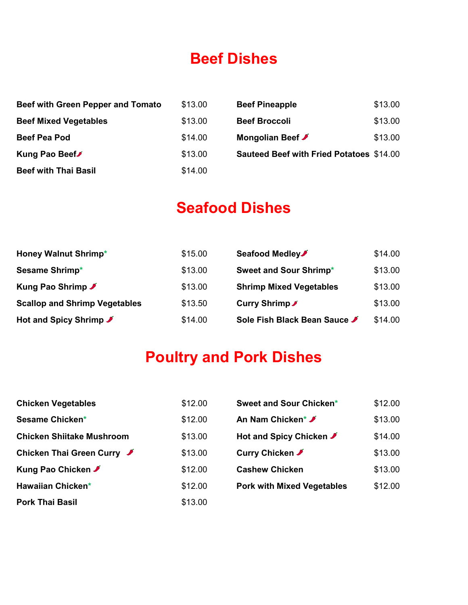#### **Beef Dishes**

| Beef with Green Pepper and Tomato | \$13.00 | <b>Beef Pineapple</b>                           | \$13.00 |
|-----------------------------------|---------|-------------------------------------------------|---------|
| <b>Beef Mixed Vegetables</b>      | \$13.00 | <b>Beef Broccoli</b>                            | \$13.00 |
| <b>Beef Pea Pod</b>               | \$14.00 | Mongolian Beef ✔                                | \$13.00 |
| Kung Pao Beef                     | \$13.00 | <b>Sauteed Beef with Fried Potatoes \$14.00</b> |         |
| <b>Beef with Thai Basil</b>       | \$14.00 |                                                 |         |

#### **Seafood Dishes**

| <b>Honey Walnut Shrimp*</b>          | \$15.00 | Seafood Medley                 | \$14.00 |
|--------------------------------------|---------|--------------------------------|---------|
| Sesame Shrimp*                       | \$13.00 | Sweet and Sour Shrimp*         | \$13.00 |
| Kung Pao Shrimp ♪                    | \$13.00 | <b>Shrimp Mixed Vegetables</b> | \$13.00 |
| <b>Scallop and Shrimp Vegetables</b> | \$13.50 | Curry Shrimp ✔                 | \$13.00 |
| Hot and Spicy Shrimp <b>≯</b>        | \$14.00 | Sole Fish Black Bean Sauce ✔   | \$14.00 |

# **Poultry and Pork Dishes**

| <b>Chicken Vegetables</b>        | \$12.00 | Sweet and Sour Chicken*           | \$12.00 |
|----------------------------------|---------|-----------------------------------|---------|
| Sesame Chicken*                  | \$12.00 | An Nam Chicken <sup>*</sup> ✔     | \$13.00 |
| <b>Chicken Shiitake Mushroom</b> | \$13.00 | Hot and Spicy Chicken <b>≯</b>    | \$14.00 |
| Chicken Thai Green Curry ✔       | \$13.00 | Curry Chicken ✔                   | \$13.00 |
| Kung Pao Chicken ✔               | \$12.00 | <b>Cashew Chicken</b>             | \$13.00 |
| Hawaiian Chicken*                | \$12.00 | <b>Pork with Mixed Vegetables</b> | \$12.00 |
| <b>Pork Thai Basil</b>           | \$13.00 |                                   |         |

| Sweet and Sour Chicken*           | \$12.00 |
|-----------------------------------|---------|
| An Nam Chicken* <b>৴</b>          | \$13.00 |
| Hot and Spicy Chicken <b></b>     | \$14.00 |
| Curry Chicken ✔                   | \$13.00 |
| <b>Cashew Chicken</b>             | \$13.00 |
| <b>Pork with Mixed Vegetables</b> | \$12.00 |
|                                   |         |